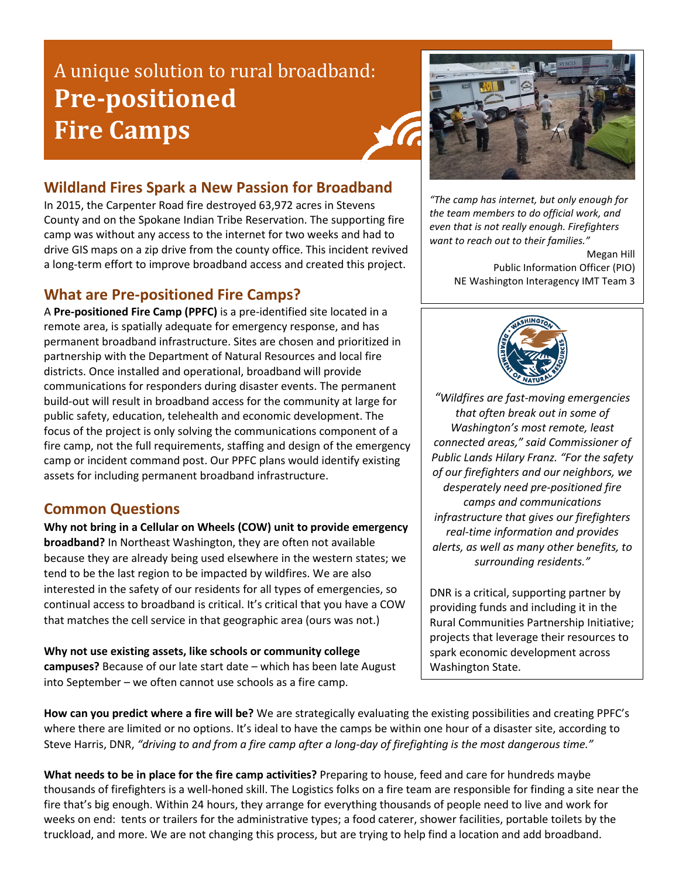## A unique solution to rural broadband: **Pre-positioned Fire Camps**



### **Wildland Fires Spark a New Passion for Broadband**

In 2015, the Carpenter Road fire destroyed 63,972 acres in Stevens County and on the Spokane Indian Tribe Reservation. The supporting fire camp was without any access to the internet for two weeks and had to drive GIS maps on a zip drive from the county office. This incident revived a long-term effort to improve broadband access and created this project.

#### **What are Pre-positioned Fire Camps?**

A **Pre-positioned Fire Camp (PPFC)** is a pre-identified site located in a remote area, is spatially adequate for emergency response, and has permanent broadband infrastructure. Sites are chosen and prioritized in partnership with the Department of Natural Resources and local fire districts. Once installed and operational, broadband will provide communications for responders during disaster events. The permanent build-out will result in broadband access for the community at large for public safety, education, telehealth and economic development. The focus of the project is only solving the communications component of a fire camp, not the full requirements, staffing and design of the emergency camp or incident command post. Our PPFC plans would identify existing assets for including permanent broadband infrastructure.

**Common Questions**<br>Why not bring in a Cellular on Wheels (COW) unit to provide emergency **broadband?** In Northeast Washington, they are often not available because they are already being used elsewhere in the western states; we tend to be the last region to be impacted by wildfires. We are also interested in the safety of our residents for all types of emergencies, so continual access to broadband is critical. It's critical that you have a COW that matches the cell service in that geographic area (ours was not.)

**Why not use existing assets, like schools or community college campuses?** Because of our late start date – which has been late August into September – we often cannot use schools as a fire camp.

*"The camp has internet, but only enough for the team members to do official work, and even that is not really enough. Firefighters want to reach out to their families."*

> Megan Hill Public Information Officer (PIO) NE Washington Interagency IMT Team 3



*"Wildfires are fast-moving emergencies that often break out in some of Washington's most remote, least connected areas," said Commissioner of Public Lands Hilary Franz. "For the safety of our firefighters and our neighbors, we desperately need pre-positioned fire camps and communications infrastructure that gives our firefighters real-time information and provides alerts, as well as many other benefits, to surrounding residents."*

DNR is a critical, supporting partner by providing funds and including it in the Rural Communities Partnership Initiative; projects that leverage their resources to spark economic development across Washington State.

**How can you predict where a fire will be?** We are strategically evaluating the existing possibilities and creating PPFC's where there are limited or no options. It's ideal to have the camps be within one hour of a disaster site, according to Steve Harris, DNR, *"driving to and from a fire camp after a long-day of firefighting is the most dangerous time."*

**What needs to be in place for the fire camp activities?** Preparing to house, feed and care for hundreds maybe thousands of firefighters is a well-honed skill. The Logistics folks on a fire team are responsible for finding a site near the fire that's big enough. Within 24 hours, they arrange for everything thousands of people need to live and work for weeks on end: tents or trailers for the administrative types; a food caterer, shower facilities, portable toilets by the truckload, and more. We are not changing this process, but are trying to help find a location and add broadband.